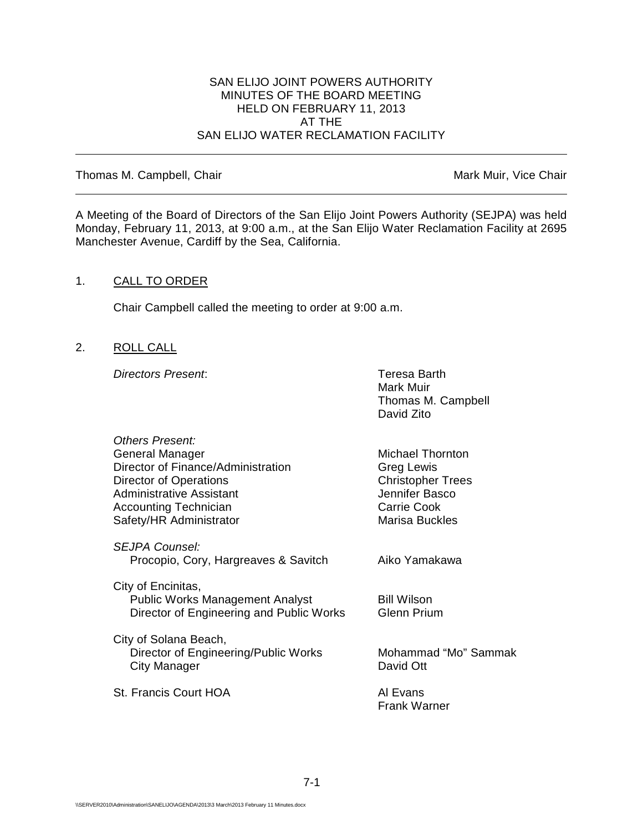#### SAN ELIJO JOINT POWERS AUTHORITY MINUTES OF THE BOARD MEETING HELD ON FEBRUARY 11, 2013 AT THE SAN ELIJO WATER RECLAMATION FACILITY

Thomas M. Campbell, Chair Mark Muir, Vice Chair Muir, Vice Chair

A Meeting of the Board of Directors of the San Elijo Joint Powers Authority (SEJPA) was held Monday, February 11, 2013, at 9:00 a.m., at the San Elijo Water Reclamation Facility at 2695 Manchester Avenue, Cardiff by the Sea, California.

### 1. CALL TO ORDER

Chair Campbell called the meeting to order at 9:00 a.m.

2. ROLL CALL

*Directors Present*: Teresa Barth

Mark Muir Thomas M. Campbell David Zito

| <b>Others Present:</b>                   |                          |
|------------------------------------------|--------------------------|
| General Manager                          | <b>Michael Thornton</b>  |
| Director of Finance/Administration       | <b>Greg Lewis</b>        |
| Director of Operations                   | <b>Christopher Trees</b> |
| Administrative Assistant                 | Jennifer Basco           |
| <b>Accounting Technician</b>             | Carrie Cook              |
| Safety/HR Administrator                  | Marisa Buckles           |
|                                          |                          |
| SEJPA Counsel:                           | Aiko Yamakawa            |
| Procopio, Cory, Hargreaves & Savitch     |                          |
| City of Encinitas,                       |                          |
| <b>Public Works Management Analyst</b>   | <b>Bill Wilson</b>       |
| Director of Engineering and Public Works | <b>Glenn Prium</b>       |
|                                          |                          |
| City of Solana Beach,                    |                          |
| Director of Engineering/Public Works     | Mohammad "Mo" Sammak     |
| City Manager                             | David Ott                |
| St. Francis Court HOA                    | Al Evans                 |
|                                          | <b>Frank Warner</b>      |
|                                          |                          |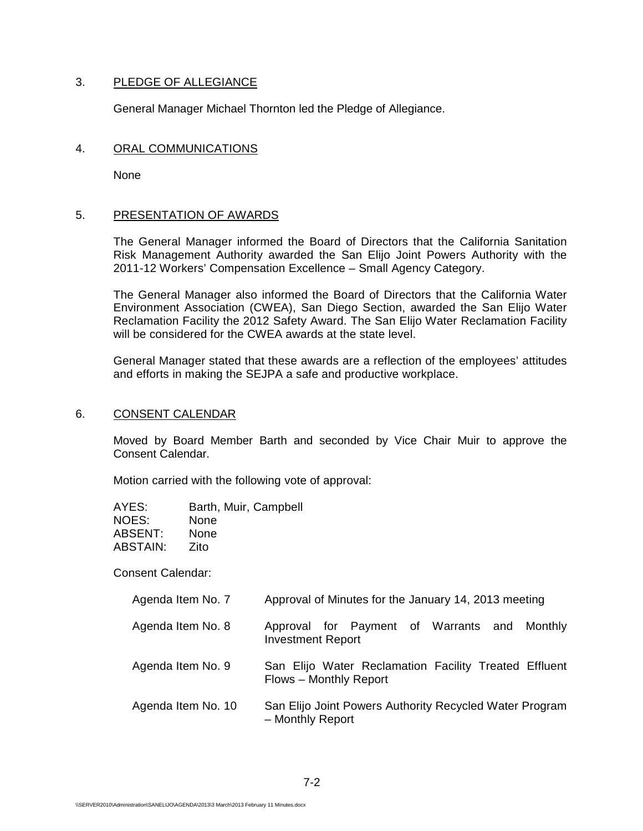### 3. PLEDGE OF ALLEGIANCE

General Manager Michael Thornton led the Pledge of Allegiance.

#### 4. ORAL COMMUNICATIONS

None

### 5. PRESENTATION OF AWARDS

The General Manager informed the Board of Directors that the California Sanitation Risk Management Authority awarded the San Elijo Joint Powers Authority with the 2011-12 Workers' Compensation Excellence – Small Agency Category.

The General Manager also informed the Board of Directors that the California Water Environment Association (CWEA), San Diego Section, awarded the San Elijo Water Reclamation Facility the 2012 Safety Award. The San Elijo Water Reclamation Facility will be considered for the CWEA awards at the state level.

General Manager stated that these awards are a reflection of the employees' attitudes and efforts in making the SEJPA a safe and productive workplace.

#### 6. CONSENT CALENDAR

Moved by Board Member Barth and seconded by Vice Chair Muir to approve the Consent Calendar.

Motion carried with the following vote of approval:

| AYES:    | Barth, Muir, Campbell |
|----------|-----------------------|
| NOES:    | None                  |
| ABSENT:  | None                  |
| ABSTAIN: | Zito                  |

Consent Calendar:

| Agenda Item No. 7  | Approval of Minutes for the January 14, 2013 meeting                            |
|--------------------|---------------------------------------------------------------------------------|
| Agenda Item No. 8  | Approval for Payment of Warrants and Monthly<br><b>Investment Report</b>        |
| Agenda Item No. 9  | San Elijo Water Reclamation Facility Treated Effluent<br>Flows - Monthly Report |
| Agenda Item No. 10 | San Elijo Joint Powers Authority Recycled Water Program<br>- Monthly Report     |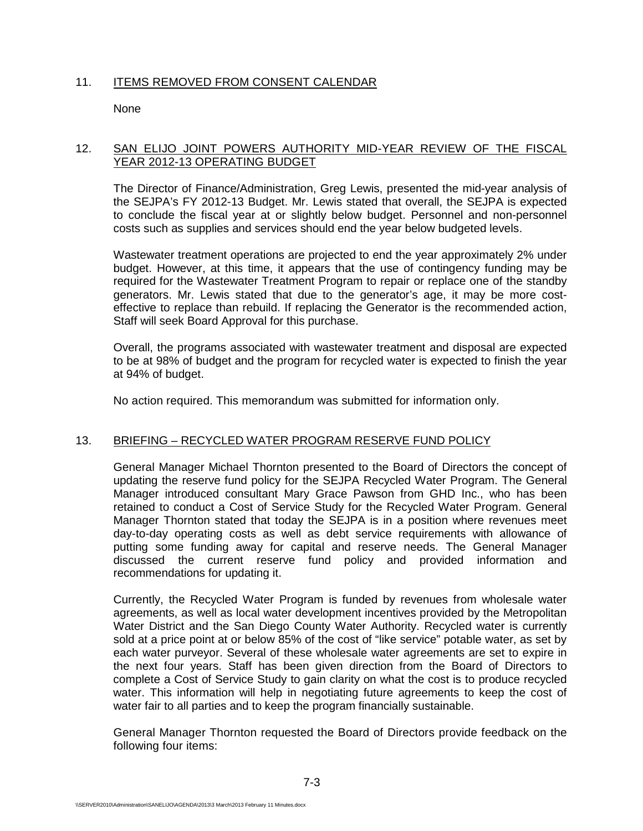## 11. ITEMS REMOVED FROM CONSENT CALENDAR

**None** 

## 12. SAN ELIJO JOINT POWERS AUTHORITY MID-YEAR REVIEW OF THE FISCAL YEAR 2012-13 OPERATING BUDGET

The Director of Finance/Administration, Greg Lewis, presented the mid-year analysis of the SEJPA's FY 2012-13 Budget. Mr. Lewis stated that overall, the SEJPA is expected to conclude the fiscal year at or slightly below budget. Personnel and non-personnel costs such as supplies and services should end the year below budgeted levels.

Wastewater treatment operations are projected to end the year approximately 2% under budget. However, at this time, it appears that the use of contingency funding may be required for the Wastewater Treatment Program to repair or replace one of the standby generators. Mr. Lewis stated that due to the generator's age, it may be more costeffective to replace than rebuild. If replacing the Generator is the recommended action, Staff will seek Board Approval for this purchase.

Overall, the programs associated with wastewater treatment and disposal are expected to be at 98% of budget and the program for recycled water is expected to finish the year at 94% of budget.

No action required. This memorandum was submitted for information only.

## 13. BRIEFING – RECYCLED WATER PROGRAM RESERVE FUND POLICY

General Manager Michael Thornton presented to the Board of Directors the concept of updating the reserve fund policy for the SEJPA Recycled Water Program. The General Manager introduced consultant Mary Grace Pawson from GHD Inc., who has been retained to conduct a Cost of Service Study for the Recycled Water Program. General Manager Thornton stated that today the SEJPA is in a position where revenues meet day-to-day operating costs as well as debt service requirements with allowance of putting some funding away for capital and reserve needs. The General Manager discussed the current reserve fund policy and provided information and recommendations for updating it.

Currently, the Recycled Water Program is funded by revenues from wholesale water agreements, as well as local water development incentives provided by the Metropolitan Water District and the San Diego County Water Authority. Recycled water is currently sold at a price point at or below 85% of the cost of "like service" potable water, as set by each water purveyor. Several of these wholesale water agreements are set to expire in the next four years. Staff has been given direction from the Board of Directors to complete a Cost of Service Study to gain clarity on what the cost is to produce recycled water. This information will help in negotiating future agreements to keep the cost of water fair to all parties and to keep the program financially sustainable.

General Manager Thornton requested the Board of Directors provide feedback on the following four items: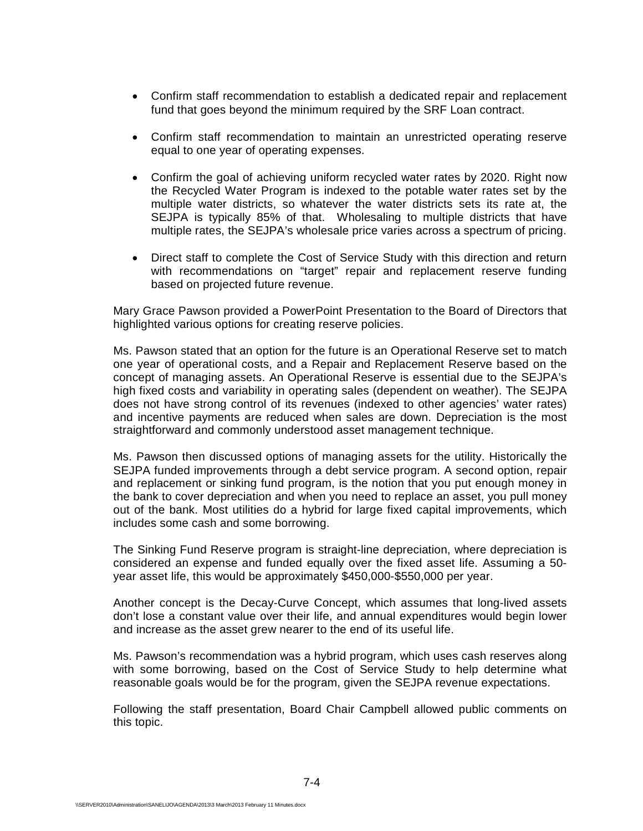- Confirm staff recommendation to establish a dedicated repair and replacement fund that goes beyond the minimum required by the SRF Loan contract.
- Confirm staff recommendation to maintain an unrestricted operating reserve equal to one year of operating expenses.
- Confirm the goal of achieving uniform recycled water rates by 2020. Right now the Recycled Water Program is indexed to the potable water rates set by the multiple water districts, so whatever the water districts sets its rate at, the SEJPA is typically 85% of that. Wholesaling to multiple districts that have multiple rates, the SEJPA's wholesale price varies across a spectrum of pricing.
- Direct staff to complete the Cost of Service Study with this direction and return with recommendations on "target" repair and replacement reserve funding based on projected future revenue.

Mary Grace Pawson provided a PowerPoint Presentation to the Board of Directors that highlighted various options for creating reserve policies.

Ms. Pawson stated that an option for the future is an Operational Reserve set to match one year of operational costs, and a Repair and Replacement Reserve based on the concept of managing assets. An Operational Reserve is essential due to the SEJPA's high fixed costs and variability in operating sales (dependent on weather). The SEJPA does not have strong control of its revenues (indexed to other agencies' water rates) and incentive payments are reduced when sales are down. Depreciation is the most straightforward and commonly understood asset management technique.

Ms. Pawson then discussed options of managing assets for the utility. Historically the SEJPA funded improvements through a debt service program. A second option, repair and replacement or sinking fund program, is the notion that you put enough money in the bank to cover depreciation and when you need to replace an asset, you pull money out of the bank. Most utilities do a hybrid for large fixed capital improvements, which includes some cash and some borrowing.

The Sinking Fund Reserve program is straight-line depreciation, where depreciation is considered an expense and funded equally over the fixed asset life. Assuming a 50 year asset life, this would be approximately \$450,000-\$550,000 per year.

Another concept is the Decay-Curve Concept, which assumes that long-lived assets don't lose a constant value over their life, and annual expenditures would begin lower and increase as the asset grew nearer to the end of its useful life.

Ms. Pawson's recommendation was a hybrid program, which uses cash reserves along with some borrowing, based on the Cost of Service Study to help determine what reasonable goals would be for the program, given the SEJPA revenue expectations.

Following the staff presentation, Board Chair Campbell allowed public comments on this topic.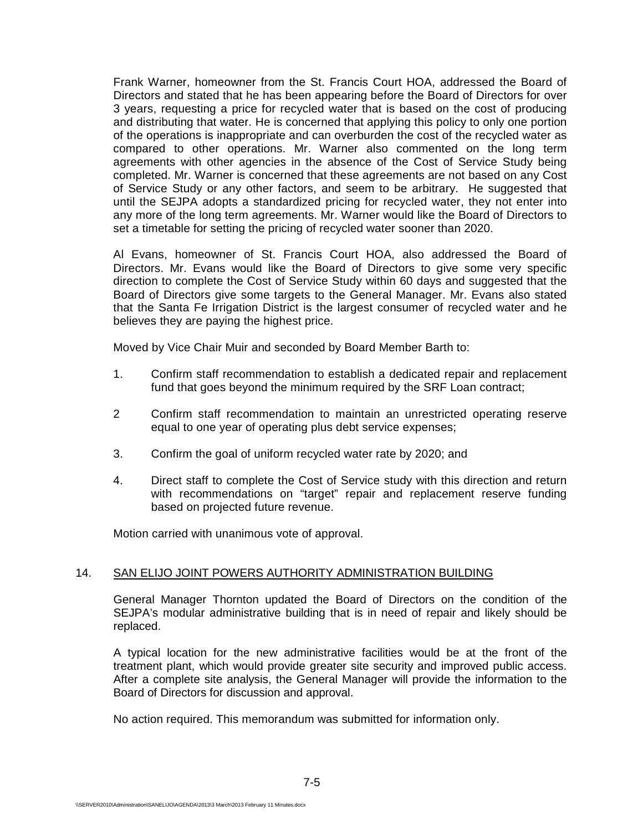Frank Warner, homeowner from the St. Francis Court HOA, addressed the Board of Directors and stated that he has been appearing before the Board of Directors for over 3 years, requesting a price for recycled water that is based on the cost of producing and distributing that water. He is concerned that applying this policy to only one portion of the operations is inappropriate and can overburden the cost of the recycled water as compared to other operations. Mr. Warner also commented on the long term agreements with other agencies in the absence of the Cost of Service Study being completed. Mr. Warner is concerned that these agreements are not based on any Cost of Service Study or any other factors, and seem to be arbitrary. He suggested that until the SEJPA adopts a standardized pricing for recycled water, they not enter into any more of the long term agreements. Mr. Warner would like the Board of Directors to set a timetable for setting the pricing of recycled water sooner than 2020.

Al Evans, homeowner of St. Francis Court HOA, also addressed the Board of Directors. Mr. Evans would like the Board of Directors to give some very specific direction to complete the Cost of Service Study within 60 days and suggested that the Board of Directors give some targets to the General Manager. Mr. Evans also stated that the Santa Fe Irrigation District is the largest consumer of recycled water and he believes they are paying the highest price.

Moved by Vice Chair Muir and seconded by Board Member Barth to:

- 1. Confirm staff recommendation to establish a dedicated repair and replacement fund that goes beyond the minimum required by the SRF Loan contract;
- 2 Confirm staff recommendation to maintain an unrestricted operating reserve equal to one year of operating plus debt service expenses;
- 3. Confirm the goal of uniform recycled water rate by 2020; and
- 4. Direct staff to complete the Cost of Service study with this direction and return with recommendations on "target" repair and replacement reserve funding based on projected future revenue.

Motion carried with unanimous vote of approval.

## 14. SAN ELIJO JOINT POWERS AUTHORITY ADMINISTRATION BUILDING

General Manager Thornton updated the Board of Directors on the condition of the SEJPA's modular administrative building that is in need of repair and likely should be replaced.

A typical location for the new administrative facilities would be at the front of the treatment plant, which would provide greater site security and improved public access. After a complete site analysis, the General Manager will provide the information to the Board of Directors for discussion and approval.

No action required. This memorandum was submitted for information only.